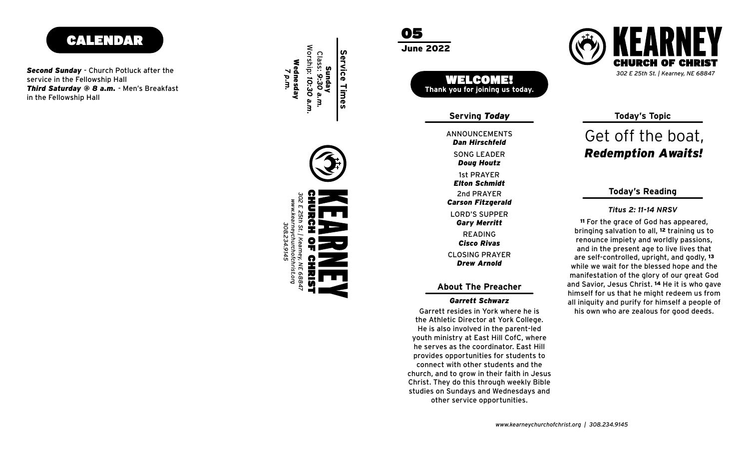

*Second Sunday* - Church Potluck after the service in the Fellowship Hall *Third Saturday @ 8 a.m.* - Men's Breakfast in the Fellowship Hall

Worship: 10:30 Class: 9:30 **Service Times Service Times** *7 p.m.* Wednesday Sunday *9:30 a.m. 10:30 a.m.*



05 June 2022

> WELCOME! **Thank you for joining us today.**

> > **Serving** *Today*

SONG LEADER READING CLOSING PRAYER ANNOUNCEMENTS *Doug Houtz* LORD'S SUPPER *Gary Merritt* 1st PRAYER 2nd PRAYER *Elton Schmidt Carson Fitzgerald Cisco Rivas Drew Arnold Dan Hirschfeld*

**About The Preacher**

### *Garrett Schwarz*

the Athletic Director at York College. He is also involved in the parent-led youth ministry at East Hill CofC, where he serves as the coordinator. East Hill provides opportunities for students to connect with other students and the church, and to grow in their faith in Jesus Christ. They do this through weekly Bible studies on Sundays and Wednesdays and other service opportunities.



**Today's Topic**

## Get off the boat, *Rede m ption Awaits !*

### **Today's Reading**

#### *Titus 2: 11-14 NRSV*

<sup>11</sup> For the grace of God has appeared, bringing salvation to all, 12 training us to renounce impiety and worldly passions, and in the present age to live lives that are self-controlled, upright, and godly, <sup>13</sup> while we wait for the blessed hope and the manifestation of the glory of our great God and Savior, Jesus Christ. 14 He it is who gave himself for us that he might redeem us from all iniquity and purify for himself a people of Garrett resides in York where he is his own who are zealous for good deeds.

*www.kearneychurchofchrist.org | 308.234.9145*